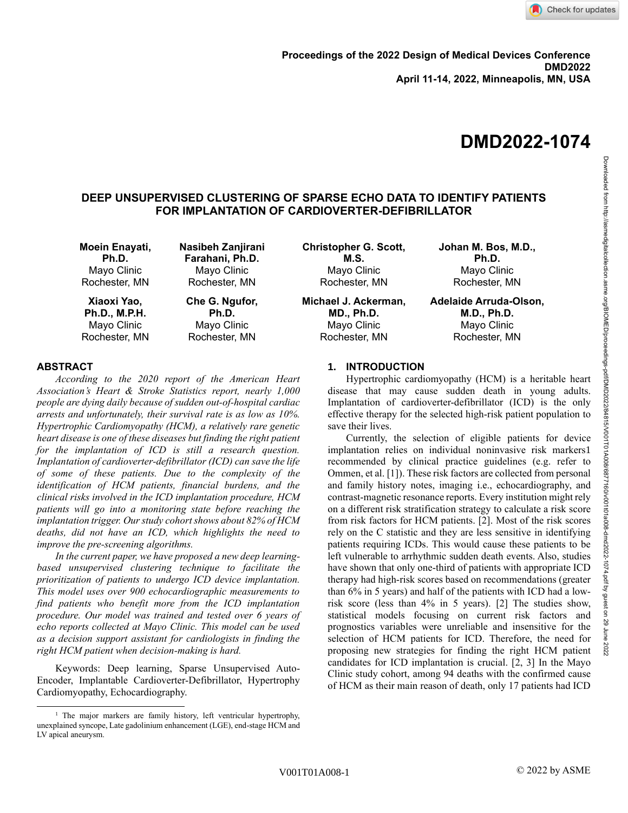# **DMD2022-1074**

# **DEEP UNSUPERVISED CLUSTERING OF SPARSE ECHO DATA TO IDENTIFY PATIENTS FOR IMPLANTATION OF CARDIOVERTER-DEFIBRILLATOR**

| Moein Enayati,       | Nasibeh Zanjirani | <b>Christopher G. Scott,</b> | Johan M. Bos, M.D.,    |
|----------------------|-------------------|------------------------------|------------------------|
| Ph.D.                | Farahani, Ph.D.   | M.S.                         | Ph.D.                  |
| Mayo Clinic          | Mayo Clinic       | Mayo Clinic                  | Mayo Clinic            |
| Rochester, MN        | Rochester, MN     | Rochester, MN                | Rochester, MN          |
| Xiaoxi Yao,          | Che G. Ngufor,    | Michael J. Ackerman,         | Adelaide Arruda-Olson, |
| <b>Ph.D., M.P.H.</b> | Ph.D.             | <b>MD., Ph.D.</b>            | <b>M.D., Ph.D.</b>     |
| Mayo Clinic          | Mayo Clinic       | Mayo Clinic                  | Mayo Clinic            |
| Rochester, MN        | Rochester, MN     | Rochester, MN                | Rochester, MN          |

## **ABSTRACT**

*According to the 2020 report of the American Heart Association's Heart & Stroke Statistics report, nearly 1,000 people are dying daily because of sudden out-of-hospital cardiac arrests and unfortunately, their survival rate is as low as 10%. Hypertrophic Cardiomyopathy (HCM), a relatively rare genetic heart disease is one of these diseases but finding the right patient for the implantation of ICD is still a research question. Implantation of cardioverter-defibrillator (ICD) can save the life of some of these patients. Due to the complexity of the identification of HCM patients, financial burdens, and the clinical risks involved in the ICD implantation procedure, HCM patients will go into a monitoring state before reaching the implantation trigger. Our study cohort shows about 82% of HCM deaths, did not have an ICD, which highlights the need to improve the pre-screening algorithms.*

*In the current paper, we have proposed a new deep learningbased unsupervised clustering technique to facilitate the prioritization of patients to undergo ICD device implantation. This model uses over 900 echocardiographic measurements to find patients who benefit more from the ICD implantation procedure. Our model was trained and tested over 6 years of echo reports collected at Mayo Clinic. This model can be used as a decision support assistant for cardiologists in finding the right HCM patient when decision-making is hard.* 

Keywords: Deep learning, Sparse Unsupervised Auto-Encoder, Implantable Cardioverter-Defibrillator, Hypertrophy Cardiomyopathy, Echocardiography.

## **1. INTRODUCTION**

Hypertrophic cardiomyopathy (HCM) is a heritable heart disease that may cause sudden death in young adults. Implantation of cardioverter-defibrillator (ICD) is the only effective therapy for the selected high-risk patient population to save their lives.

Currently, the selection of eligible patients for device implantation relies on individual noninvasive risk markers1 recommended by clinical practice guidelines (e.g. refer to Ommen, et al. [1]). These risk factors are collected from personal and family history notes, imaging i.e., echocardiography, and contrast-magnetic resonance reports. Every institution might rely on a different risk stratification strategy to calculate a risk score from risk factors for HCM patients. [2]. Most of the risk scores rely on the C statistic and they are less sensitive in identifying patients requiring ICDs. This would cause these patients to be left vulnerable to arrhythmic sudden death events. Also, studies have shown that only one-third of patients with appropriate ICD therapy had high-risk scores based on recommendations (greater than 6% in 5 years) and half of the patients with ICD had a lowrisk score (less than 4% in 5 years). [2] The studies show, statistical models focusing on current risk factors and prognostics variables were unreliable and insensitive for the selection of HCM patients for ICD. Therefore, the need for proposing new strategies for finding the right HCM patient candidates for ICD implantation is crucial. [2, 3] In the Mayo Clinic study cohort, among 94 deaths with the confirmed cause of HCM as their main reason of death, only 17 patients had ICD

<sup>&</sup>lt;sup>1</sup> The major markers are family history, left ventricular hypertrophy, unexplained syncope, Late gadolinium enhancement (LGE), end-stage HCM and LV apical aneurysm.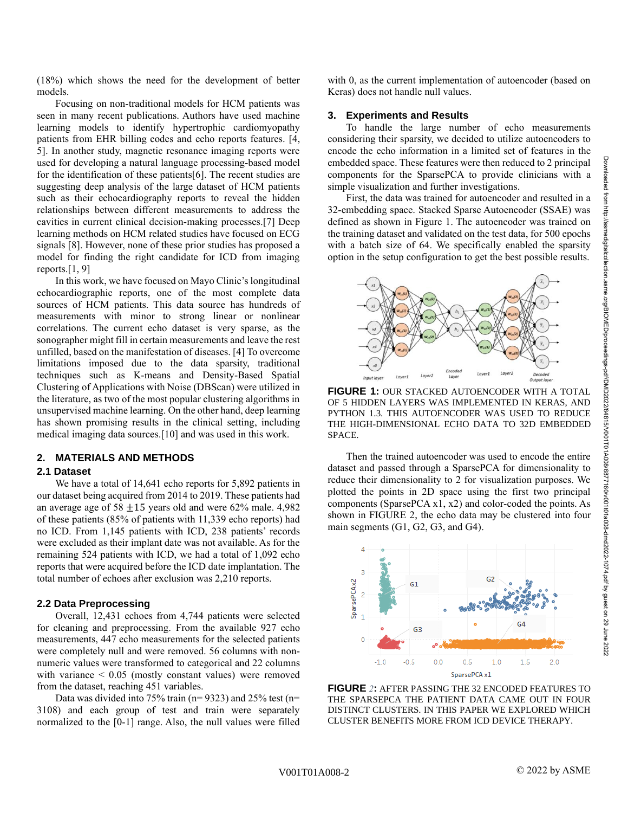(18%) which shows the need for the development of better models.

Focusing on non-traditional models for HCM patients was seen in many recent publications. Authors have used machine learning models to identify hypertrophic cardiomyopathy patients from EHR billing codes and echo reports features. [4, 5]. In another study, magnetic resonance imaging reports were used for developing a natural language processing-based model for the identification of these patients[6]. The recent studies are suggesting deep analysis of the large dataset of HCM patients such as their echocardiography reports to reveal the hidden relationships between different measurements to address the cavities in current clinical decision-making processes.[7] Deep learning methods on HCM related studies have focused on ECG signals [8]. However, none of these prior studies has proposed a model for finding the right candidate for ICD from imaging reports. $[1, 9]$ 

In this work, we have focused on Mayo Clinic's longitudinal echocardiographic reports, one of the most complete data sources of HCM patients. This data source has hundreds of measurements with minor to strong linear or nonlinear correlations. The current echo dataset is very sparse, as the sonographer might fill in certain measurements and leave the rest unfilled, based on the manifestation of diseases. [4] To overcome limitations imposed due to the data sparsity, traditional techniques such as K-means and Density-Based Spatial Clustering of Applications with Noise (DBScan) were utilized in the literature, as two of the most popular clustering algorithms in unsupervised machine learning. On the other hand, deep learning has shown promising results in the clinical setting, including medical imaging data sources.[10] and was used in this work.

# **2. MATERIALS AND METHODS**

#### **2.1 Dataset**

We have a total of 14,641 echo reports for 5,892 patients in our dataset being acquired from 2014 to 2019. These patients had an average age of 58  $\pm$ 15 years old and were 62% male. 4,982 of these patients (85% of patients with 11,339 echo reports) had no ICD. From 1,145 patients with ICD, 238 patients' records were excluded as their implant date was not available. As for the remaining 524 patients with ICD, we had a total of 1,092 echo reports that were acquired before the ICD date implantation. The total number of echoes after exclusion was 2,210 reports.

#### **2.2 Data Preprocessing**

Overall, 12,431 echoes from 4,744 patients were selected for cleaning and preprocessing. From the available 927 echo measurements, 447 echo measurements for the selected patients were completely null and were removed. 56 columns with nonnumeric values were transformed to categorical and 22 columns with variance < 0.05 (mostly constant values) were removed from the dataset, reaching 451 variables.

Data was divided into 75% train ( $n= 9323$ ) and 25% test ( $n=$ 3108) and each group of test and train were separately normalized to the [0-1] range. Also, the null values were filled with 0, as the current implementation of autoencoder (based on Keras) does not handle null values.

#### **3. Experiments and Results**

To handle the large number of echo measurements considering their sparsity, we decided to utilize autoencoders to encode the echo information in a limited set of features in the embedded space. These features were then reduced to 2 principal components for the SparsePCA to provide clinicians with a simple visualization and further investigations.

First, the data was trained for autoencoder and resulted in a 32-embedding space. Stacked Sparse Autoencoder (SSAE) was defined as shown in Figure 1. The autoencoder was trained on the training dataset and validated on the test data, for 500 epochs with a batch size of 64. We specifically enabled the sparsity option in the setup configuration to get the best possible results.



**FIGURE 1:** OUR STACKED AUTOENCODER WITH A TOTAL OF 5 HIDDEN LAYERS WAS IMPLEMENTED IN KERAS, AND PYTHON 1.3. THIS AUTOENCODER WAS USED TO REDUCE THE HIGH-DIMENSIONAL ECHO DATA TO 32D EMBEDDED SPACE.

Then the trained autoencoder was used to encode the entire dataset and passed through a SparsePCA for dimensionality to reduce their dimensionality to 2 for visualization purposes. We plotted the points in 2D space using the first two principal components (SparsePCA x1, x2) and color-coded the points. As shown in [FIGURE 2,](#page-1-0) the echo data may be clustered into four main segments (G1, G2, G3, and G4).



<span id="page-1-0"></span>**FIGURE** *2***:** AFTER PASSING THE 32 ENCODED FEATURES TO THE SPARSEPCA THE PATIENT DATA CAME OUT IN FOUR DISTINCT CLUSTERS. IN THIS PAPER WE EXPLORED WHICH CLUSTER BENEFITS MORE FROM ICD DEVICE THERAPY.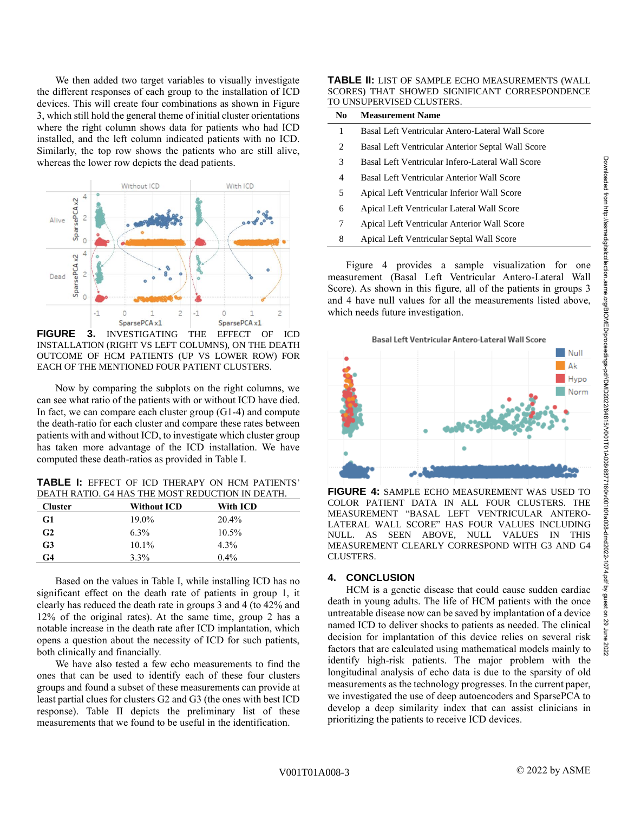We then added two target variables to visually investigate the different responses of each group to the installation of ICD devices. This will create four combinations as shown in Figure 3, which still hold the general theme of initial cluster orientations where the right column shows data for patients who had ICD installed, and the left column indicated patients with no ICD. Similarly, the top row shows the patients who are still alive, whereas the lower row depicts the dead patients.



**FIGURE 3.** INVESTIGATING THE EFFECT OF ICD INSTALLATION (RIGHT VS LEFT COLUMNS), ON THE DEATH OUTCOME OF HCM PATIENTS (UP VS LOWER ROW) FOR EACH OF THE MENTIONED FOUR PATIENT CLUSTERS.

Now by comparing the subplots on the right columns, we can see what ratio of the patients with or without ICD have died. In fact, we can compare each cluster group (G1-4) and compute the death-ratio for each cluster and compare these rates between patients with and without ICD, to investigate which cluster group has taken more advantage of the ICD installation. We have computed these death-ratios as provided in Table I.

**TABLE I:** EFFECT OF ICD THERAPY ON HCM PATIENTS' DEATH RATIO. G4 HAS THE MOST REDUCTION IN DEATH.

| <b>Cluster</b> | <b>Without ICD</b> | With ICD |
|----------------|--------------------|----------|
| G1             | 19.0%              | 20.4%    |
| G <sub>2</sub> | $6.3\%$            | $10.5\%$ |
| G3             | $10.1\%$           | $4.3\%$  |
| G4             | 3.3%               | $0.4\%$  |

Based on the values in Table I, while installing ICD has no significant effect on the death rate of patients in group 1, it clearly has reduced the death rate in groups 3 and 4 (to 42% and 12% of the original rates). At the same time, group 2 has a notable increase in the death rate after ICD implantation, which opens a question about the necessity of ICD for such patients, both clinically and financially.

We have also tested a few echo measurements to find the ones that can be used to identify each of these four clusters groups and found a subset of these measurements can provide at least partial clues for clusters G2 and G3 (the ones with best ICD response). Table II depicts the preliminary list of these measurements that we found to be useful in the identification.

**TABLE II:** LIST OF SAMPLE ECHO MEASUREMENTS (WALL SCORES) THAT SHOWED SIGNIFICANT CORRESPONDENCE TO UNSUPERVISED CLUSTERS.

| No. | <b>Measurement Name</b>                           |
|-----|---------------------------------------------------|
| 1   | Basal Left Ventricular Antero-Lateral Wall Score  |
| 2   | Basal Left Ventricular Anterior Septal Wall Score |
| 3   | Basal Left Ventricular Infero-Lateral Wall Score  |
| 4   | Basal Left Ventricular Anterior Wall Score        |
| 5   | Apical Left Ventricular Inferior Wall Score       |
| 6   | Apical Left Ventricular Lateral Wall Score        |
| 7   | Apical Left Ventricular Anterior Wall Score       |
| 8   | Apical Left Ventricular Septal Wall Score         |
|     |                                                   |

Figure 4 provides a sample visualization for one measurement (Basal Left Ventricular Antero-Lateral Wall Score). As shown in this figure, all of the patients in groups 3 and 4 have null values for all the measurements listed above, which needs future investigation.



**FIGURE 4:** SAMPLE ECHO MEASUREMENT WAS USED TO COLOR PATIENT DATA IN ALL FOUR CLUSTERS. THE MEASUREMENT "BASAL LEFT VENTRICULAR ANTERO-LATERAL WALL SCORE" HAS FOUR VALUES INCLUDING NULL. AS SEEN ABOVE, NULL VALUES IN THIS MEASUREMENT CLEARLY CORRESPOND WITH G3 AND G4 CLUSTERS.

## **4. CONCLUSION**

HCM is a genetic disease that could cause sudden cardiac death in young adults. The life of HCM patients with the once untreatable disease now can be saved by implantation of a device named ICD to deliver shocks to patients as needed. The clinical decision for implantation of this device relies on several risk factors that are calculated using mathematical models mainly to identify high-risk patients. The major problem with the longitudinal analysis of echo data is due to the sparsity of old measurements as the technology progresses. In the current paper, we investigated the use of deep autoencoders and SparsePCA to develop a deep similarity index that can assist clinicians in prioritizing the patients to receive ICD devices.